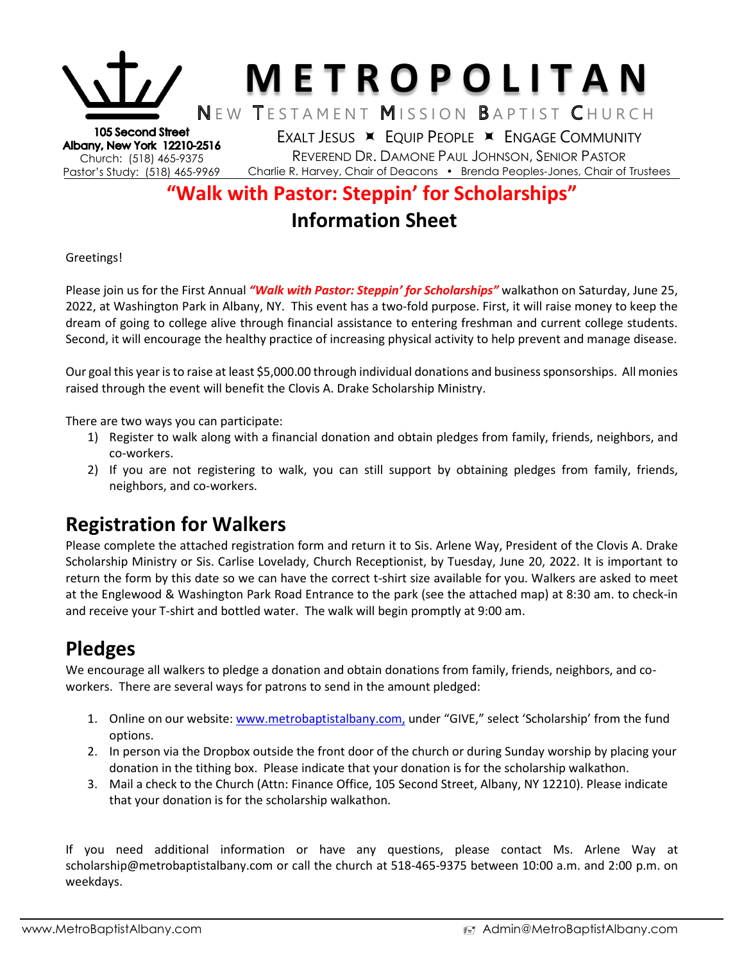

## **"Walk with Pastor: Steppin' for Scholarships" Information Sheet**

#### Greetings!

Please join us for the First Annual *"Walk with Pastor: Steppin' for Scholarships"* walkathon on Saturday, June 25, 2022, at Washington Park in Albany, NY. This event has a two-fold purpose. First, it will raise money to keep the dream of going to college alive through financial assistance to entering freshman and current college students. Second, it will encourage the healthy practice of increasing physical activity to help prevent and manage disease.

Our goal this year is to raise at least \$5,000.00 through individual donations and business sponsorships. All monies raised through the event will benefit the Clovis A. Drake Scholarship Ministry.

There are two ways you can participate:

- 1) Register to walk along with a financial donation and obtain pledges from family, friends, neighbors, and co-workers.
- 2) If you are not registering to walk, you can still support by obtaining pledges from family, friends, neighbors, and co-workers.

## **Registration for Walkers**

Please complete the attached registration form and return it to Sis. Arlene Way, President of the Clovis A. Drake Scholarship Ministry or Sis. Carlise Lovelady, Church Receptionist, by Tuesday, June 20, 2022. It is important to return the form by this date so we can have the correct t-shirt size available for you. Walkers are asked to meet at the Englewood & Washington Park Road Entrance to the park (see the attached map) at 8:30 am. to check-in and receive your T-shirt and bottled water. The walk will begin promptly at 9:00 am.

## **Pledges**

We encourage all walkers to pledge a donation and obtain donations from family, friends, neighbors, and coworkers. There are several ways for patrons to send in the amount pledged:

- 1. Online on our website: [www.metrobaptistalbany.com,](http://www.metrobaptistalbany.com/) under "GIVE," select 'Scholarship' from the fund options.
- 2. In person via the Dropbox outside the front door of the church or during Sunday worship by placing your donation in the tithing box. Please indicate that your donation is for the scholarship walkathon.
- 3. Mail a check to the Church (Attn: Finance Office, 105 Second Street, Albany, NY 12210). Please indicate that your donation is for the scholarship walkathon.

If you need additional information or have any questions, please contact Ms. Arlene Way at [scholarship@metrobaptistalbany.com](mailto:scholarship@metrobaptistalbany.com) or call the church at 518-465-9375 between 10:00 a.m. and 2:00 p.m. on weekdays.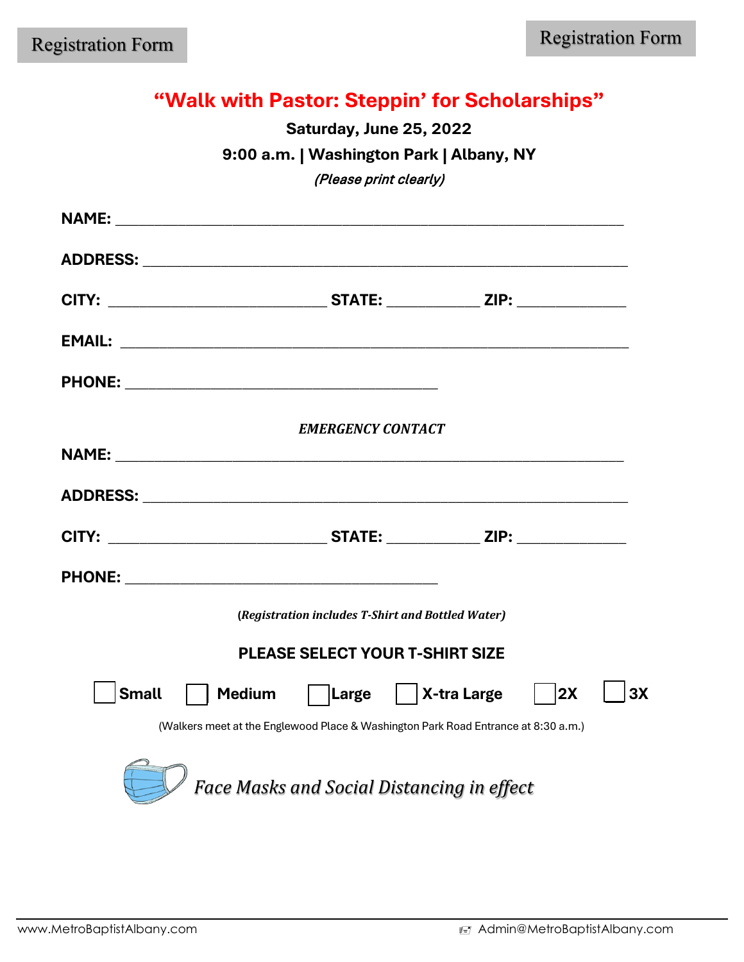# **"Walk with Pastor: Steppin' for Scholarships"**

**Saturday, June 25, 2022** 

**9:00 a.m. | Washington Park | Albany, NY**

(Please print clearly)

| <b>NAME:</b> | <u> 1980 - Jan James James James James James James James James James James James James James James James James J</u> |                          |                                                   |    |    |
|--------------|----------------------------------------------------------------------------------------------------------------------|--------------------------|---------------------------------------------------|----|----|
|              |                                                                                                                      |                          |                                                   |    |    |
|              |                                                                                                                      |                          |                                                   |    |    |
|              |                                                                                                                      |                          |                                                   |    |    |
|              |                                                                                                                      |                          |                                                   |    |    |
|              |                                                                                                                      | <b>EMERGENCY CONTACT</b> |                                                   |    |    |
|              |                                                                                                                      |                          |                                                   |    |    |
|              |                                                                                                                      |                          |                                                   |    |    |
|              |                                                                                                                      |                          |                                                   |    |    |
|              |                                                                                                                      |                          |                                                   |    |    |
|              |                                                                                                                      |                          | (Registration includes T-Shirt and Bottled Water) |    |    |
|              |                                                                                                                      |                          | <b>PLEASE SELECT YOUR T-SHIRT SIZE</b>            |    |    |
| <b>Small</b> |                                                                                                                      |                          | Medium   Large   X-tra Large                      | 2X | 3X |
|              | (Walkers meet at the Englewood Place & Washington Park Road Entrance at 8:30 a.m.)                                   |                          |                                                   |    |    |
|              |                                                                                                                      |                          | Face Masks and Social Distancing in effect        |    |    |